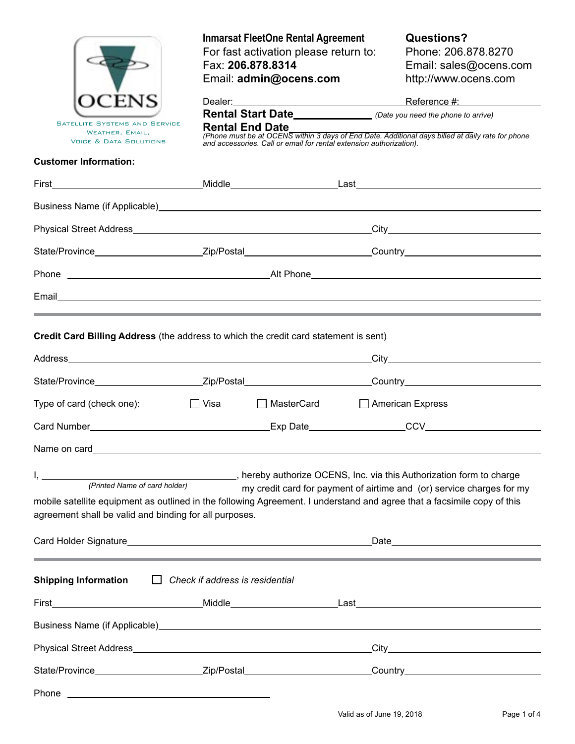|                                                                                                                         | <b>Inmarsat FleetOne Rental Agreement</b><br>For fast activation please return to:<br>Fax: 206.878.8314<br>Email: admin@ocens.com |                                                                     |                                                                                                                | Questions?<br>Phone: 206.878.8270<br>Email: sales@ocens.com<br>http://www.ocens.com               |  |  |
|-------------------------------------------------------------------------------------------------------------------------|-----------------------------------------------------------------------------------------------------------------------------------|---------------------------------------------------------------------|----------------------------------------------------------------------------------------------------------------|---------------------------------------------------------------------------------------------------|--|--|
|                                                                                                                         |                                                                                                                                   |                                                                     |                                                                                                                |                                                                                                   |  |  |
| <b>SATELLITE SYSTEMS AND SERVICE</b><br>WEATHER, EMAIL,                                                                 | <b>Rental End Date</b>                                                                                                            |                                                                     |                                                                                                                |                                                                                                   |  |  |
| <b>VOICE &amp; DATA SOLUTIONS</b>                                                                                       |                                                                                                                                   | and accessories. Call or email for rental extension authorization). |                                                                                                                | (Phone must be at OCENS within 3 days of End Date. Additional days billed at daily rate for phone |  |  |
| <b>Customer Information:</b>                                                                                            |                                                                                                                                   |                                                                     |                                                                                                                |                                                                                                   |  |  |
|                                                                                                                         |                                                                                                                                   |                                                                     |                                                                                                                |                                                                                                   |  |  |
|                                                                                                                         |                                                                                                                                   |                                                                     |                                                                                                                |                                                                                                   |  |  |
|                                                                                                                         |                                                                                                                                   |                                                                     |                                                                                                                |                                                                                                   |  |  |
| State/Province___________________________Zip/Postal____________________________Country________________________          |                                                                                                                                   |                                                                     |                                                                                                                |                                                                                                   |  |  |
|                                                                                                                         |                                                                                                                                   |                                                                     |                                                                                                                |                                                                                                   |  |  |
|                                                                                                                         |                                                                                                                                   |                                                                     |                                                                                                                |                                                                                                   |  |  |
|                                                                                                                         |                                                                                                                                   |                                                                     |                                                                                                                |                                                                                                   |  |  |
| Credit Card Billing Address (the address to which the credit card statement is sent)                                    |                                                                                                                                   |                                                                     |                                                                                                                |                                                                                                   |  |  |
|                                                                                                                         |                                                                                                                                   |                                                                     |                                                                                                                |                                                                                                   |  |  |
|                                                                                                                         |                                                                                                                                   |                                                                     | State/Province___________________________Zip/Postal____________________________Country________________________ |                                                                                                   |  |  |
| Type of card (check one):                                                                                               | $\Box$ Visa                                                                                                                       | $\Box$ MasterCard                                                   |                                                                                                                | $\Box$ American Express                                                                           |  |  |
|                                                                                                                         |                                                                                                                                   |                                                                     |                                                                                                                |                                                                                                   |  |  |
| Name on card_                                                                                                           |                                                                                                                                   |                                                                     |                                                                                                                |                                                                                                   |  |  |
|                                                                                                                         |                                                                                                                                   |                                                                     |                                                                                                                |                                                                                                   |  |  |
|                                                                                                                         |                                                                                                                                   |                                                                     |                                                                                                                | my credit card for payment of airtime and (or) service charges for my                             |  |  |
| mobile satellite equipment as outlined in the following Agreement. I understand and agree that a facsimile copy of this |                                                                                                                                   |                                                                     |                                                                                                                |                                                                                                   |  |  |
| agreement shall be valid and binding for all purposes.                                                                  |                                                                                                                                   |                                                                     |                                                                                                                |                                                                                                   |  |  |
|                                                                                                                         |                                                                                                                                   |                                                                     |                                                                                                                |                                                                                                   |  |  |
| ,我们也不会有什么?""我们的人,我们也不会有什么?""我们的人,我们也不会有什么?""我们的人,我们也不会有什么?""我们的人,我们也不会有什么?""我们的人                                        |                                                                                                                                   |                                                                     |                                                                                                                |                                                                                                   |  |  |
| <b>Shipping Information</b>                                                                                             | $\Box$ Check if address is residential                                                                                            |                                                                     |                                                                                                                |                                                                                                   |  |  |
|                                                                                                                         |                                                                                                                                   |                                                                     |                                                                                                                |                                                                                                   |  |  |
|                                                                                                                         |                                                                                                                                   |                                                                     |                                                                                                                |                                                                                                   |  |  |
|                                                                                                                         |                                                                                                                                   |                                                                     |                                                                                                                |                                                                                                   |  |  |
| State/Province___________________________Zip/Postal____________________________Country________________________          |                                                                                                                                   |                                                                     |                                                                                                                |                                                                                                   |  |  |
| Phone<br><u> 1989 - Andrea Stadt Britain, amerikansk politik (</u>                                                      |                                                                                                                                   |                                                                     |                                                                                                                |                                                                                                   |  |  |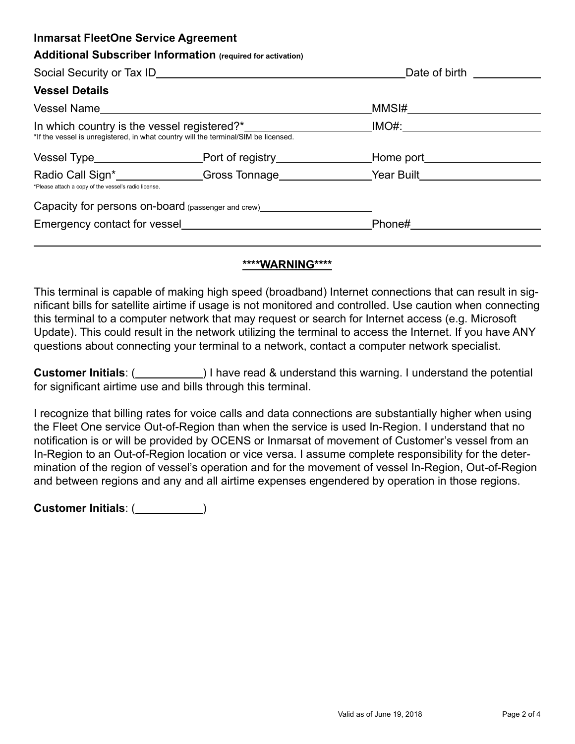| <b>Inmarsat FleetOne Service Agreement</b>                                         |                                                    |                                                                                                                                                                                                                                      |  |  |
|------------------------------------------------------------------------------------|----------------------------------------------------|--------------------------------------------------------------------------------------------------------------------------------------------------------------------------------------------------------------------------------------|--|--|
| <b>Additional Subscriber Information (required for activation)</b>                 |                                                    |                                                                                                                                                                                                                                      |  |  |
|                                                                                    |                                                    | Date of birth <b>the contract of the contract of the contract of the contract of the contract of the contract of the contract of the contract of the contract of the contract of the contract of the contract of the contract of</b> |  |  |
| <b>Vessel Details</b>                                                              |                                                    |                                                                                                                                                                                                                                      |  |  |
| Vessel Name                                                                        |                                                    |                                                                                                                                                                                                                                      |  |  |
| *If the vessel is unregistered, in what country will the terminal/SIM be licensed. |                                                    | IMO#:______________________                                                                                                                                                                                                          |  |  |
|                                                                                    |                                                    |                                                                                                                                                                                                                                      |  |  |
| *Please attach a copy of the vessel's radio license.                               |                                                    | Radio Call Sign* Signer Call Signer Constant Contract Contract Contract Contract Contract Contract Contract Contract Contract Contract Contract Contract Contract Contract Contract Contract Contract Contract Contract Contra       |  |  |
|                                                                                    | Capacity for persons on-board (passenger and crew) |                                                                                                                                                                                                                                      |  |  |
|                                                                                    | Emergency contact for vessel                       | Phone#                                                                                                                                                                                                                               |  |  |

#### **\*\*\*\*WARNING\*\*\*\***

This terminal is capable of making high speed (broadband) Internet connections that can result in significant bills for satellite airtime if usage is not monitored and controlled. Use caution when connecting this terminal to a computer network that may request or search for Internet access (e.g. Microsoft Update). This could result in the network utilizing the terminal to access the Internet. If you have ANY questions about connecting your terminal to a network, contact a computer network specialist.

**Customer Initials**: ( ) I have read & understand this warning. I understand the potential for significant airtime use and bills through this terminal.

I recognize that billing rates for voice calls and data connections are substantially higher when using the Fleet One service Out-of-Region than when the service is used In-Region. I understand that no notification is or will be provided by OCENS or Inmarsat of movement of Customer's vessel from an In-Region to an Out-of-Region location or vice versa. I assume complete responsibility for the determination of the region of vessel's operation and for the movement of vessel In-Region, Out-of-Region and between regions and any and all airtime expenses engendered by operation in those regions.

**Customer Initials**: ( )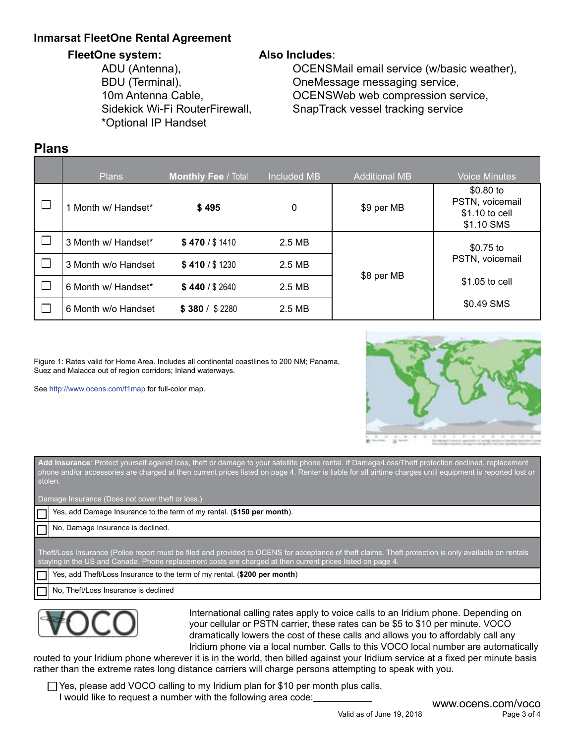## **Inmarsat FleetOne Rental Agreement**

#### **FleetOne system:**

ADU (Antenna), BDU (Terminal), 10m Antenna Cable, Sidekick Wi-Fi RouterFirewall, \*Optional IP Handset

### **Also Includes**:

OCENSMail email service (w/basic weather), OneMessage messaging service, OCENSWeb web compression service, SnapTrack vessel tracking service

# **Plans**

|        | Plans               | <b>Monthly Fee / Total</b> | <b>Included MB</b> | <b>Additional MB</b> | Voice Minutes                                                 |
|--------|---------------------|----------------------------|--------------------|----------------------|---------------------------------------------------------------|
| ⊔      | 1 Month w/ Handset* | \$495                      | 0                  | \$9 per MB           | $$0.80$ to<br>PSTN, voicemail<br>\$1.10 to cell<br>\$1.10 SMS |
| $\Box$ | 3 Month w/ Handset* | \$470 / \$1410             | 2.5 MB             |                      | \$0.75 to                                                     |
| $\Box$ | 3 Month w/o Handset | \$410 / \$1230             | 2.5 MB             |                      | PSTN, voicemail                                               |
| □      | 6 Month w/ Handset* | \$440/\$2640               | 2.5 MB             | \$8 per MB           | \$1.05 to cell                                                |
|        | 6 Month w/o Handset | \$380 / \$2280             | 2.5 MB             |                      | \$0.49 SMS                                                    |

Figure 1: Rates valid for Home Area. Includes all continental coastlines to 200 NM; Panama, Suez and Malacca out of region corridors; Inland waterways.

See http://www.ocens.com/f1map for full-color map.



**Add Insurance**: Protect yourself against loss, theft or damage to your satellite phone rental. If Damage/Loss/Theft protection declined, replacement phone and/or accessories are charged at then current prices listed on page 4. Renter is liable for all airtime charges until equipment is reported lost or stolen.

Damage Insurance (Does not cover theft or loss.)

Yes, add Damage Insurance to the term of my rental. (**\$150 per month**).

No, Damage Insurance is declined.

Theft/Loss Insurance (Police report must be filed and provided to OCENS for acceptance of theft claims. Theft protection is only available on rentals staying in the US and Canada. Phone replacement costs are charged at then current prices listed on page 4.

Yes, add Theft/Loss Insurance to the term of my rental. (**\$200 per month**)

No, Theft/Loss Insurance is declined



International calling rates apply to voice calls to an Iridium phone. Depending on your cellular or PSTN carrier, these rates can be \$5 to \$10 per minute. VOCO dramatically lowers the cost of these calls and allows you to affordably call any Iridium phone via a local number. Calls to this VOCO local number are automatically

routed to your Iridium phone wherever it is in the world, then billed against your Iridium service at a fixed per minute basis rather than the extreme rates long distance carriers will charge persons attempting to speak with you.

 $\Box$  Yes, please add VOCO calling to my Iridium plan for \$10 per month plus calls. I would like to request a number with the following area code:<br>WWW.OCens.com/voco

Valid as of June 19, 2018 Page 3 of 4